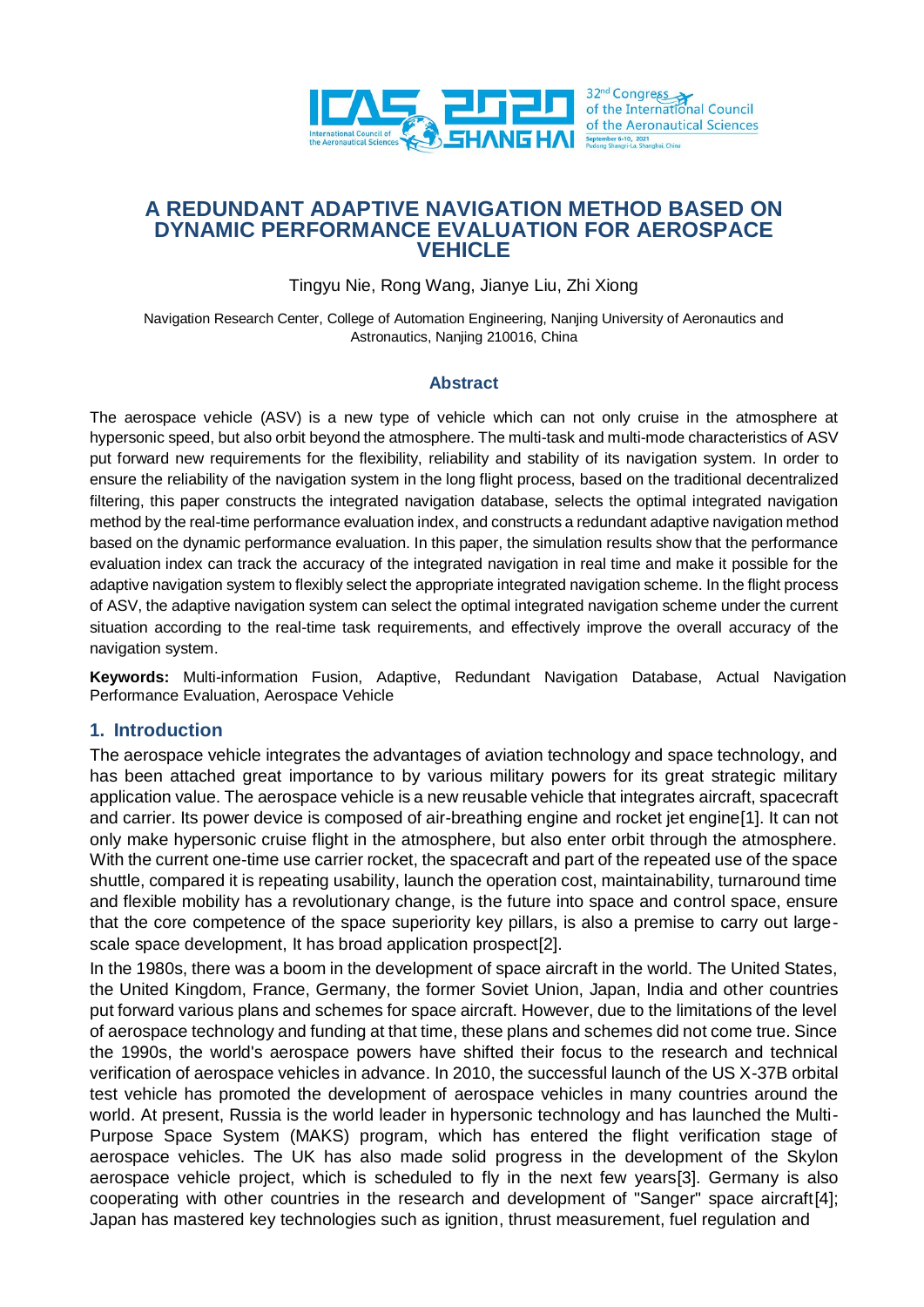

## **A REDUNDANT ADAPTIVE NAVIGATION METHOD BASED ON DYNAMIC PERFORMANCE EVALUATION FOR AEROSPACE VEHICLE**

Tingyu Nie, Rong Wang, Jianye Liu, Zhi Xiong

Navigation Research Center, College of Automation Engineering, Nanjing University of Aeronautics and Astronautics, Nanjing 210016, China

#### **Abstract**

The aerospace vehicle (ASV) is a new type of vehicle which can not only cruise in the atmosphere at hypersonic speed, but also orbit beyond the atmosphere. The multi-task and multi-mode characteristics of ASV put forward new requirements for the flexibility, reliability and stability of its navigation system. In order to ensure the reliability of the navigation system in the long flight process, based on the traditional decentralized filtering, this paper constructs the integrated navigation database, selects the optimal integrated navigation method by the real-time performance evaluation index, and constructs a redundant adaptive navigation method based on the dynamic performance evaluation. In this paper, the simulation results show that the performance evaluation index can track the accuracy of the integrated navigation in real time and make it possible for the adaptive navigation system to flexibly select the appropriate integrated navigation scheme. In the flight process of ASV, the adaptive navigation system can select the optimal integrated navigation scheme under the current situation according to the real-time task requirements, and effectively improve the overall accuracy of the navigation system.

**Keywords:** Multi-information Fusion, Adaptive, Redundant Navigation Database, Actual Navigation Performance Evaluation, Aerospace Vehicle

### **1. Introduction**

The aerospace vehicle integrates the advantages of aviation technology and space technology, and has been attached great importance to by various military powers for its great strategic military application value. The aerospace vehicle is a new reusable vehicle that integrates aircraft, spacecraft and carrier. Its power device is composed of air-breathing engine and rocket jet engine[1]. It can not only make hypersonic cruise flight in the atmosphere, but also enter orbit through the atmosphere. With the current one-time use carrier rocket, the spacecraft and part of the repeated use of the space shuttle, compared it is repeating usability, launch the operation cost, maintainability, turnaround time and flexible mobility has a revolutionary change, is the future into space and control space, ensure that the core competence of the space superiority key pillars, is also a premise to carry out largescale space development, It has broad application prospect[2].

In the 1980s, there was a boom in the development of space aircraft in the world. The United States, the United Kingdom, France, Germany, the former Soviet Union, Japan, India and other countries put forward various plans and schemes for space aircraft. However, due to the limitations of the level of aerospace technology and funding at that time, these plans and schemes did not come true. Since the 1990s, the world's aerospace powers have shifted their focus to the research and technical verification of aerospace vehicles in advance. In 2010, the successful launch of the US X-37B orbital test vehicle has promoted the development of aerospace vehicles in many countries around the world. At present, Russia is the world leader in hypersonic technology and has launched the Multi-Purpose Space System (MAKS) program, which has entered the flight verification stage of aerospace vehicles. The UK has also made solid progress in the development of the Skylon aerospace vehicle project, which is scheduled to fly in the next few years[3]. Germany is also cooperating with other countries in the research and development of "Sanger" space aircraft[4]; Japan has mastered key technologies such as ignition, thrust measurement, fuel regulation and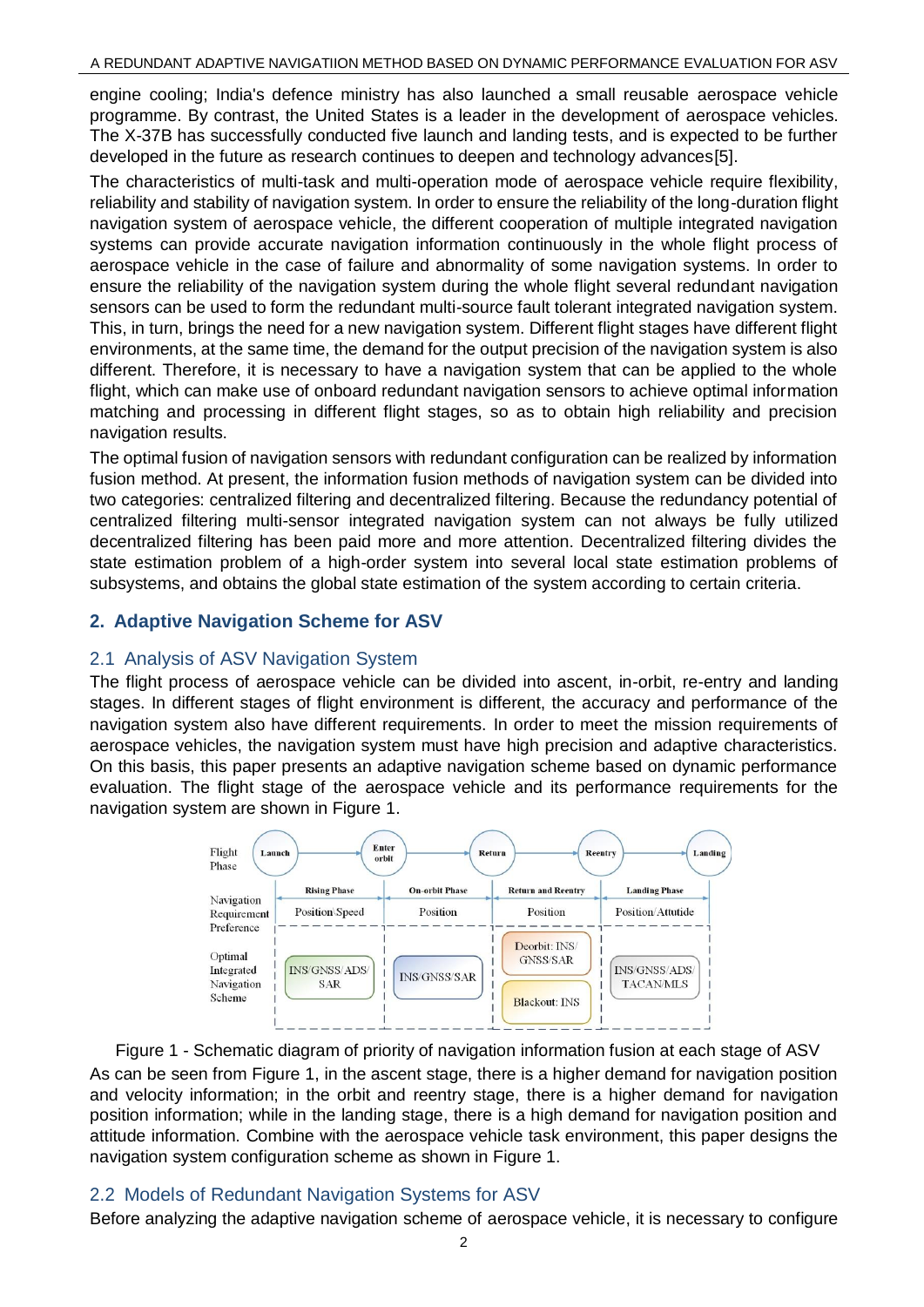engine cooling; India's defence ministry has also launched a small reusable aerospace vehicle programme. By contrast, the United States is a leader in the development of aerospace vehicles. The X-37B has successfully conducted five launch and landing tests, and is expected to be further developed in the future as research continues to deepen and technology advances[5].

The characteristics of multi-task and multi-operation mode of aerospace vehicle require flexibility, reliability and stability of navigation system. In order to ensure the reliability of the long-duration flight navigation system of aerospace vehicle, the different cooperation of multiple integrated navigation systems can provide accurate navigation information continuously in the whole flight process of aerospace vehicle in the case of failure and abnormality of some navigation systems. In order to ensure the reliability of the navigation system during the whole flight several redundant navigation sensors can be used to form the redundant multi-source fault tolerant integrated navigation system. This, in turn, brings the need for a new navigation system. Different flight stages have different flight environments, at the same time, the demand for the output precision of the navigation system is also different. Therefore, it is necessary to have a navigation system that can be applied to the whole flight, which can make use of onboard redundant navigation sensors to achieve optimal information matching and processing in different flight stages, so as to obtain high reliability and precision navigation results.

The optimal fusion of navigation sensors with redundant configuration can be realized by information fusion method. At present, the information fusion methods of navigation system can be divided into two categories: centralized filtering and decentralized filtering. Because the redundancy potential of centralized filtering multi-sensor integrated navigation system can not always be fully utilized decentralized filtering has been paid more and more attention. Decentralized filtering divides the state estimation problem of a high-order system into several local state estimation problems of subsystems, and obtains the global state estimation of the system according to certain criteria.

## **2. Adaptive Navigation Scheme for ASV**

### 2.1 Analysis of ASV Navigation System

The flight process of aerospace vehicle can be divided into ascent, in-orbit, re-entry and landing stages. In different stages of flight environment is different, the accuracy and performance of the navigation system also have different requirements. In order to meet the mission requirements of aerospace vehicles, the navigation system must have high precision and adaptive characteristics. On this basis, this paper presents an adaptive navigation scheme based on dynamic performance evaluation. The flight stage of the aerospace vehicle and its performance requirements for the navigation system are shown in Figure 1.



Figure 1 - Schematic diagram of priority of navigation information fusion at each stage of ASV As can be seen from Figure 1, in the ascent stage, there is a higher demand for navigation position and velocity information; in the orbit and reentry stage, there is a higher demand for navigation position information; while in the landing stage, there is a high demand for navigation position and attitude information. Combine with the aerospace vehicle task environment, this paper designs the navigation system configuration scheme as shown in Figure 1.

### 2.2 Models of Redundant Navigation Systems for ASV

Before analyzing the adaptive navigation scheme of aerospace vehicle, it is necessary to configure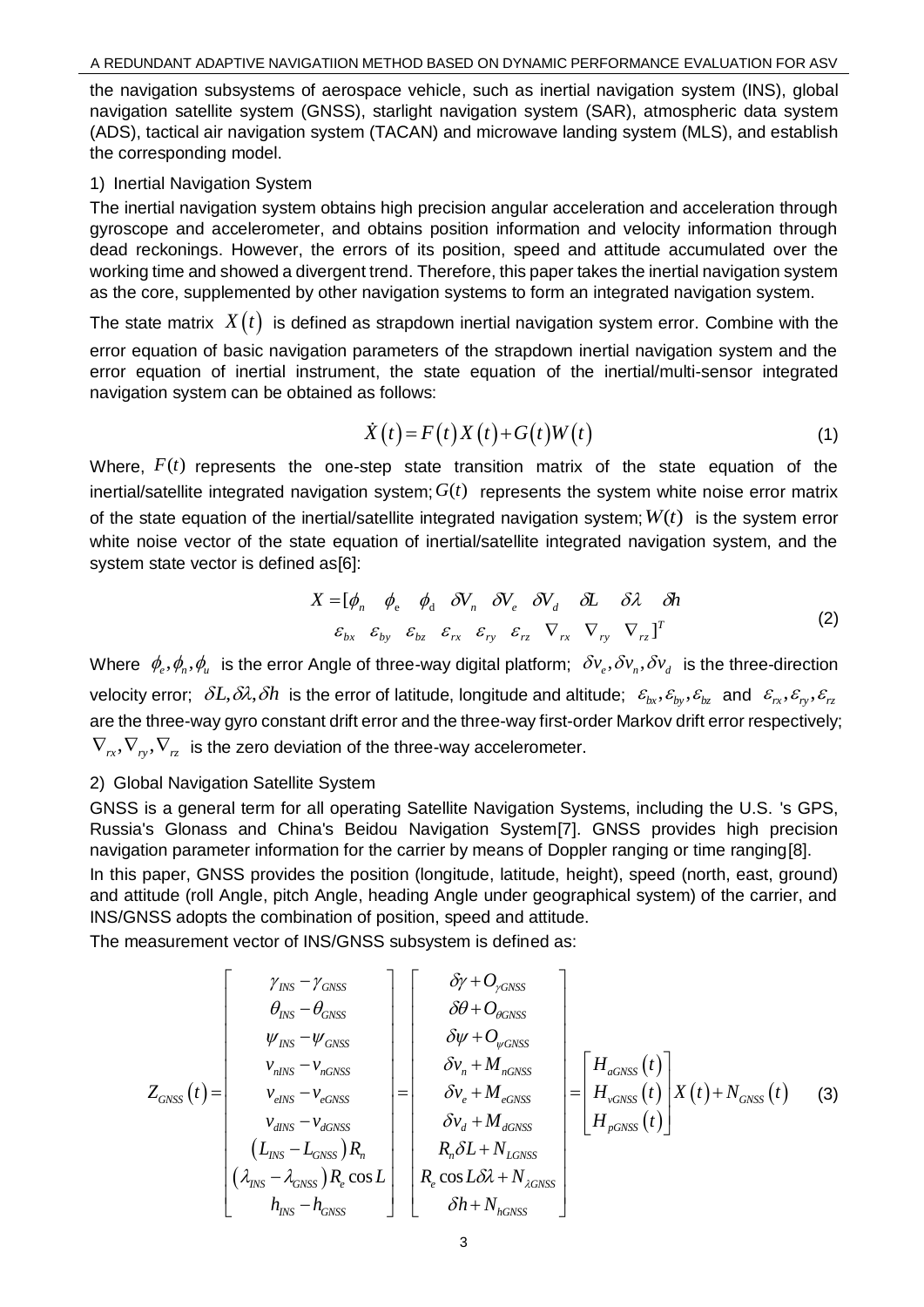the navigation subsystems of aerospace vehicle, such as inertial navigation system (INS), global navigation satellite system (GNSS), starlight navigation system (SAR), atmospheric data system (ADS), tactical air navigation system (TACAN) and microwave landing system (MLS), and establish the corresponding model.

#### 1) Inertial Navigation System

The inertial navigation system obtains high precision angular acceleration and acceleration through gyroscope and accelerometer, and obtains position information and velocity information through dead reckonings. However, the errors of its position, speed and attitude accumulated over the working time and showed a divergent trend. Therefore, this paper takes the inertial navigation system as the core, supplemented by other navigation systems to form an integrated navigation system.

The state matrix  $\;X(t)\;$  is defined as strapdown inertial navigation system error. Combine with the error equation of basic navigation parameters of the strapdown inertial navigation system and the error equation of inertial instrument, the state equation of the inertial/multi-sensor integrated navigation system can be obtained as follows:

$$
\dot{X}(t) = F(t)X(t) + G(t)W(t)
$$
\n(1)

Where,  $F(t)$  represents the one-step state transition matrix of the state equation of the inertial/satellite integrated navigation system;  $G(t)$  represents the system white noise error matrix of the state equation of the inertial/satellite integrated navigation system;  $W(t)$  is the system error white noise vector of the state equation of inertial/satellite integrated navigation system, and the system state vector is defined as[6]:

$$
X = [\phi_n \quad \phi_e \quad \phi_d \quad \delta V_n \quad \delta V_e \quad \delta V_d \quad \delta L \quad \delta \lambda \quad \delta h
$$
  

$$
\varepsilon_{bx} \quad \varepsilon_{by} \quad \varepsilon_{bz} \quad \varepsilon_{rx} \quad \varepsilon_{ry} \quad \varepsilon_{rz} \quad \nabla_{rz} \quad \nabla_{ry} \quad \nabla_{rz} \quad \Gamma
$$
 (2)

Where  $\phi_e$ ,  $\phi_n$ ,  $\phi_u$  is the error Angle of three-way digital platform;  $\delta v_e$ ,  $\delta v_n$ ,  $\delta v_d$  is the three-direction velocity error;  $\delta L, \delta\lambda, \delta h$  is the error of latitude, longitude and altitude;  $\epsilon_{bx}, \epsilon_{by}, \epsilon_{bz}$  and  $\epsilon_{rx}, \epsilon_{ry}, \epsilon_{rz}$ are the three-way gyro constant drift error and the three-way first-order Markov drift error respectively;  $\nabla_{\scriptscriptstyle rx}, \nabla_{\scriptscriptstyle ry}, \nabla_{\scriptscriptstyle rz}$  is the zero deviation of the three-way accelerometer.

### 2) Global Navigation Satellite System

GNSS is a general term for all operating Satellite Navigation Systems, including the U.S. 's GPS, Russia's Glonass and China's Beidou Navigation System[7]. GNSS provides high precision navigation parameter information for the carrier by means of Doppler ranging or time ranging[8].

In this paper, GNSS provides the position (longitude, latitude, height), speed (north, east, ground) and attitude (roll Angle, pitch Angle, heading Angle under geographical system) of the carrier, and INS/GNSS adopts the combination of position, speed and attitude.

The measurement vector of INS/GNSS subsystem is defined as:

$$
Z_{GNSS}(t) = \begin{bmatrix} \gamma_{INS} - \gamma_{GNSS} \\ \theta_{INS} - \theta_{GNSS} \\ \gamma_{NNS} - \gamma_{GNSS} \\ \gamma_{NNS} - \gamma_{nGNSS} \\ \gamma_{NNS} - \gamma_{nGNSS} \\ \gamma_{NNS} - \gamma_{nGNSS} \\ \gamma_{NNS} - \gamma_{nGNSS} \\ \gamma_{NNS} - \gamma_{nGNSS} \\ \gamma_{NNS} - \gamma_{nGNSS} \\ \gamma_{NNS} - \gamma_{nGNSS} \\ \gamma_{NNS} - \gamma_{nGNSS} \\ \gamma_{NNS} - \gamma_{nGNSS} \\ \gamma_{NNS} - \gamma_{nGNSS} \\ \gamma_{NNS} - \gamma_{nGNSS} \\ \gamma_{NNS} \\ \gamma_{NNS} \\ \gamma_{NNS} \\ \gamma_{NNS} \\ \gamma_{NNS} \\ \gamma_{NNS} \\ \gamma_{NNS} \\ \gamma_{NNS} \\ \gamma_{NNS} \\ \gamma_{NNS} \\ \gamma_{NNS} \\ \gamma_{NNS} \\ \gamma_{NNS} \\ \gamma_{NNS} \\ \gamma_{NNS} \\ \gamma_{NNS} \\ \gamma_{NNS} \\ \gamma_{NNS} \\ \gamma_{NNS} \\ \gamma_{NNS} \\ \gamma_{NNS} \\ \gamma_{NNS} \\ \gamma_{NNS} \\ \gamma_{NNS} \\ \gamma_{NNS} \\ \gamma_{NNS} \\ \gamma_{NNS} \\ \gamma_{NNS} \\ \gamma_{NNS} \\ \gamma_{NNS} \\ \gamma_{NNS} \\ \gamma_{NNS} \\ \gamma_{NNS} \\ \gamma_{NNS} \\ \gamma_{NNS} \\ \gamma_{NNS} \\ \gamma_{NNS} \\ \gamma_{NNS} \\ \gamma_{NNS} \\ \gamma_{NNS} \\ \gamma_{NNS} \\ \gamma_{NNS} \\ \gamma_{NNS} \\ \gamma_{NNS} \\ \gamma_{NNS} \\ \gamma_{NNS} \\ \gamma_{NNS} \\ \gamma_{NNS} \\ \gamma_{NNS} \\ \gamma_{NNS} \\ \gamma_{NNS} \\ \gamma_{NNS} \\ \gamma_{NNS} \\ \gamma_{NNS} \\ \gamma_{NNS} \\ \gamma_{NNS} \\ \gamma_{NNS} \\ \gamma_{NNS} \\ \gamma_{NNS} \\ \gamma_{NNS} \\ \gamma_{NNS} \\ \gamma_{NNS} \\ \gamma_{NNS} \\ \gamma_{NNS} \\ \gamma_{NNS} \\ \gamma_{NNS} \\ \gamma_{NNS} \\ \gamma_{NNS} \\ \gamma_{NNS} \\ \gamma_{NNS} \\ \gamma_{NNS} \\ \gamma_{NNS} \\ \gamma_{NNS} \\ \gamma_{NNS} \\ \gamma_{NNS} \\ \gamma_{NNS} \\ \gamma_{NNS} \\ \
$$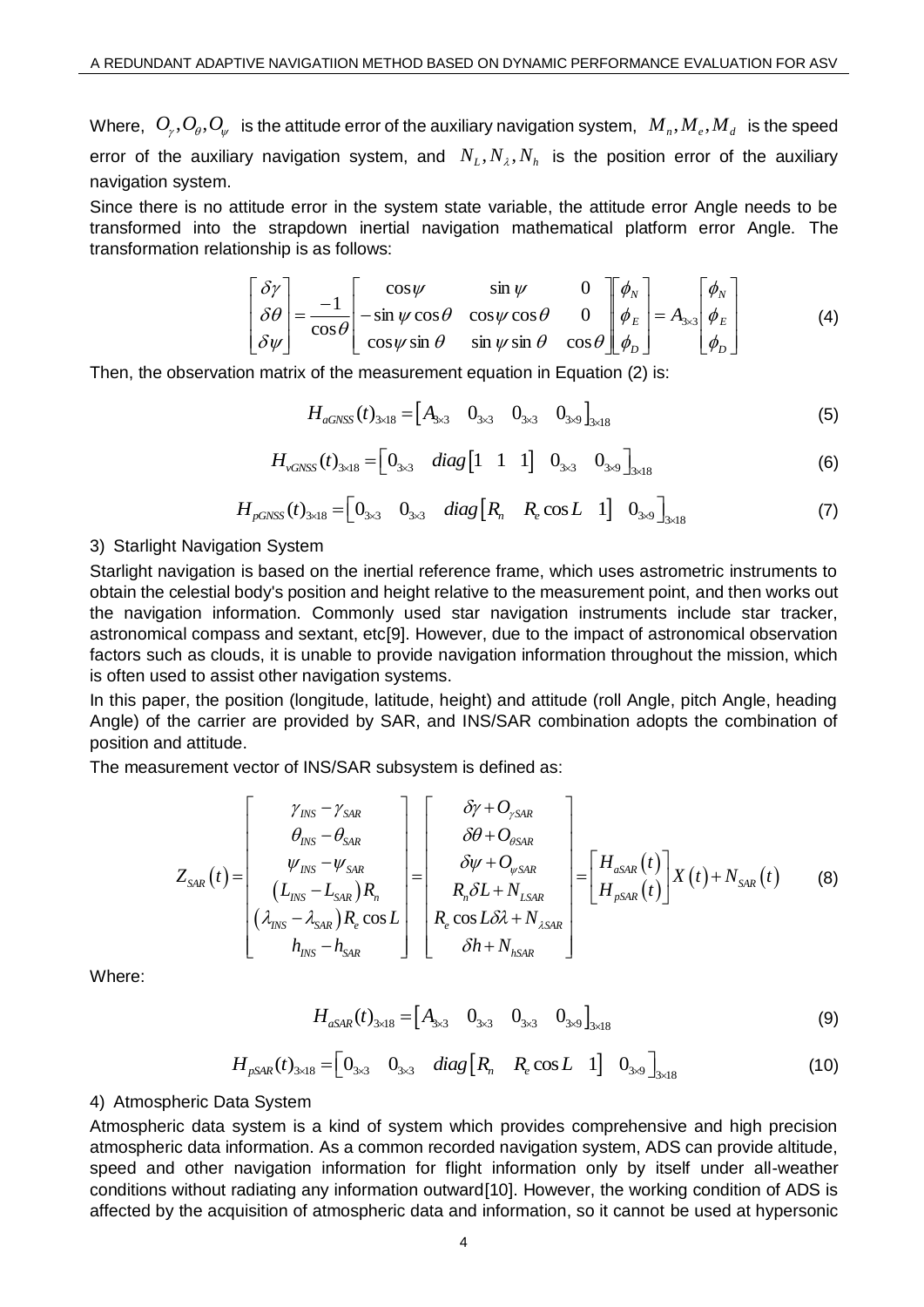Where,  $O_{_\gamma}, O_{_\theta}, O_{_\psi}$  is the attitude error of the auxiliary navigation system,  $\; M_{_n}, M_{_e}, M_{_d}\;$  is the speed error of the auxiliary navigation system, and  $N_L, N_A, N_h$  is the position error of the auxiliary navigation system.

Since there is no attitude error in the system state variable, the attitude error Angle needs to be transformed into the strapdown inertial navigation mathematical platform error Angle. The transformation relationship is as follows:

$$
\begin{bmatrix} \delta \gamma \\ \delta \theta \\ \delta \psi \end{bmatrix} = \frac{-1}{\cos \theta} \begin{bmatrix} \cos \psi & \sin \psi & 0 \\ -\sin \psi \cos \theta & \cos \psi \cos \theta & 0 \\ \cos \psi \sin \theta & \sin \psi \sin \theta & \cos \theta \end{bmatrix} \begin{bmatrix} \phi_N \\ \phi_E \\ \phi_D \end{bmatrix} = A_{3\times 3} \begin{bmatrix} \phi_N \\ \phi_E \\ \phi_D \end{bmatrix}
$$
(4)

Then, the observation matrix of the measurement equation in Equation (2) is:\n
$$
H_{aGNSS}(t)_{3\times18} = \begin{bmatrix} A_{3\times3} & 0_{3\times3} & 0_{3\times9} \end{bmatrix}_{3\times18} \tag{5}
$$

$$
H_{\nu \text{GNSS}}(t)_{3 \times 18} = \begin{bmatrix} 0_{3 \times 3} & \text{diag} \begin{bmatrix} 1 & 1 & 1 \end{bmatrix} & 0_{3 \times 3} & 0_{3 \times 9} \end{bmatrix}_{3 \times 18} \tag{6}
$$

$$
H_{pGNSS}(t)_{3\times18} = \begin{bmatrix} 0_{3\times3} & 0_{3\times3} & diag\begin{bmatrix} R_n & R_e \cos L & 1 \end{bmatrix} & 0_{3\times9} \end{bmatrix}_{3\times18}
$$
(7)

#### 3) Starlight Navigation System

Starlight navigation is based on the inertial reference frame, which uses astrometric instruments to obtain the celestial body's position and height relative to the measurement point, and then works out the navigation information. Commonly used star navigation instruments include star tracker, astronomical compass and sextant, etc[9]. However, due to the impact of astronomical observation factors such as clouds, it is unable to provide navigation information throughout the mission, which is often used to assist other navigation systems.

In this paper, the position (longitude, latitude, height) and attitude (roll Angle, pitch Angle, heading Angle) of the carrier are provided by SAR, and INS/SAR combination adopts the combination of position and attitude.

The measurement vector of INS/SAR subsystem is defined as:

$$
Z_{\text{SAR}}(t) = \begin{bmatrix} \gamma_{\text{INS}} - \gamma_{\text{SAR}} \\ \theta_{\text{INS}} - \theta_{\text{SAR}} \\ \psi_{\text{INS}} - \psi_{\text{SAR}} \\ (L_{\text{INS}} - L_{\text{SAR}})R_n \\ (\lambda_{\text{INS}} - \lambda_{\text{SAR}})R_e \cos L \end{bmatrix} = \begin{bmatrix} \delta \gamma + O_{\text{YSAR}} \\ \delta \theta + O_{\text{OSAR}} \\ \delta \psi + O_{\text{VSAR}} \\ R_n \delta L + N_{\text{LSAR}} \\ R_e \cos L \delta \lambda + N_{\text{LSAR}} \end{bmatrix} = \begin{bmatrix} H_{\text{ASAR}}(t) \\ H_{\text{PSAR}}(t) \end{bmatrix} X(t) + N_{\text{SAR}}(t) \qquad (8)
$$

Where:

$$
H_{aSAR}(t)_{3\times18} = \begin{bmatrix} A_{3\times3} & 0_{3\times3} & 0_{3\times3} & 0_{3\times9} \end{bmatrix}_{3\times18}
$$
 (9)

$$
H_{pSAR}(t)_{3\times18} = \begin{bmatrix} 0_{3\times3} & 0_{3\times3} & diag\begin{bmatrix} R_n & R_e\cos L & 1 \end{bmatrix} & 0_{3\times9} \end{bmatrix}_{3\times18}
$$
(10)

#### 4) Atmospheric Data System

Atmospheric data system is a kind of system which provides comprehensive and high precision atmospheric data information. As a common recorded navigation system, ADS can provide altitude, speed and other navigation information for flight information only by itself under all-weather conditions without radiating any information outward[10]. However, the working condition of ADS is affected by the acquisition of atmospheric data and information, so it cannot be used at hypersonic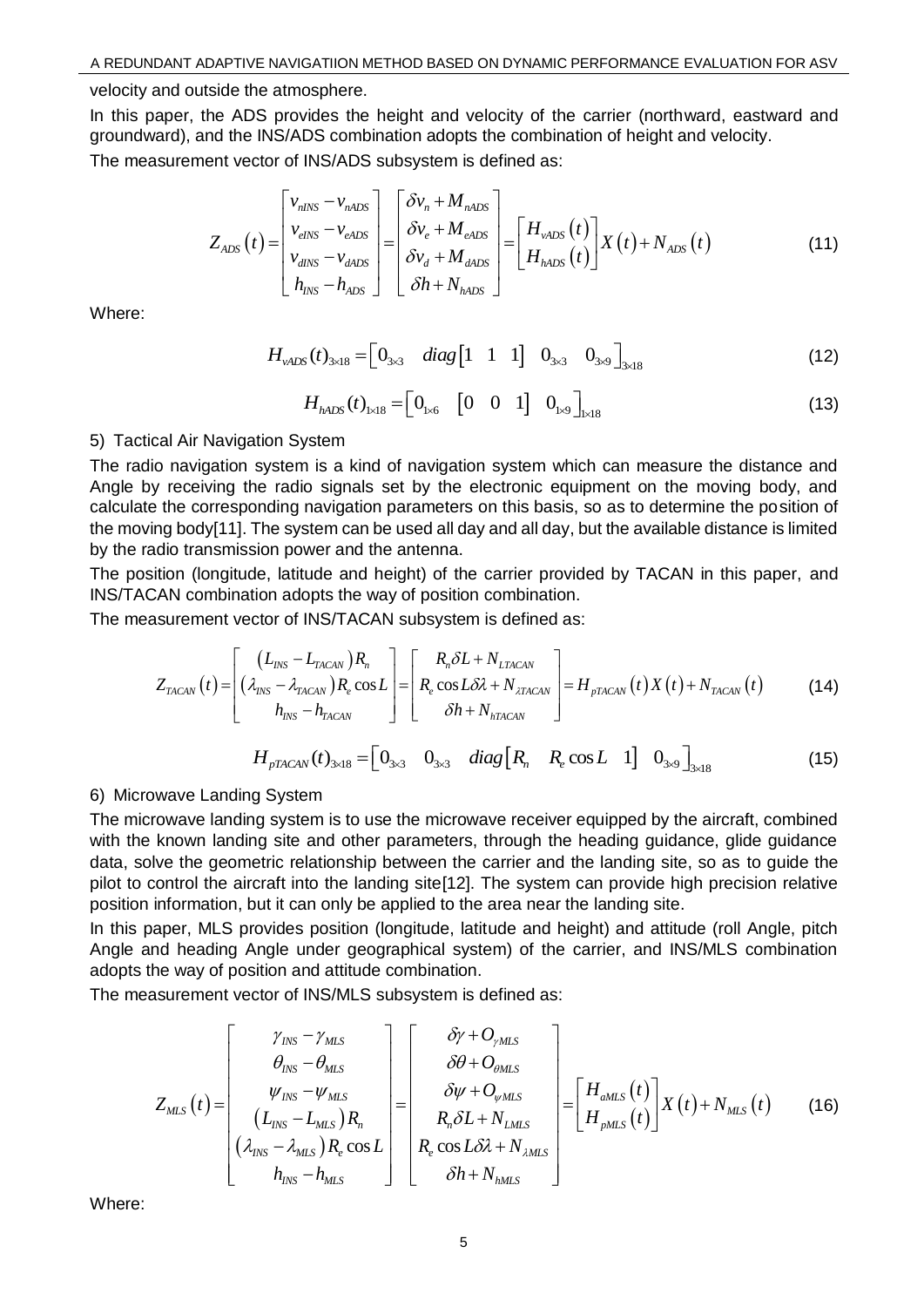velocity and outside the atmosphere.

In this paper, the ADS provides the height and velocity of the carrier (northward, eastward and groundward), and the INS/ADS combination adopts the combination of height and velocity. The measurement vector of INS/ADS subsystem is defined as:

$$
Z_{ADS}(t) = \begin{bmatrix} v_{nlNS} - v_{nADS} \\ v_{elNS} - v_{eADS} \\ v_{dlNS} - v_{dADS} \\ h_{INS} - h_{ADS} \end{bmatrix} = \begin{bmatrix} \delta v_n + M_{nADS} \\ \delta v_e + M_{eADS} \\ \delta v_d + M_{dADS} \\ \delta h + N_{hADS} \end{bmatrix} = \begin{bmatrix} H_{\nu ADS}(t) \\ H_{hADS}(t) \end{bmatrix} X(t) + N_{ADS}(t)
$$
(11)

Where:

$$
H_{\nu ADS}(t)_{3\times18} = \begin{bmatrix} 0_{3\times3} & diag \begin{bmatrix} 1 & 1 & 1 \end{bmatrix} & 0_{3\times3} & 0_{3\times9} \end{bmatrix}_{3\times18}
$$
 (12)

$$
H_{hADS}(t)_{1 \times 18} = \begin{bmatrix} 0_{1 \times 6} & [0 & 0 & 1] & 0_{1 \times 9} \end{bmatrix}_{1 \times 18}
$$
 (13)

#### 5) Tactical Air Navigation System

The radio navigation system is a kind of navigation system which can measure the distance and Angle by receiving the radio signals set by the electronic equipment on the moving body, and calculate the corresponding navigation parameters on this basis, so as to determine the position of the moving body[11]. The system can be used all day and all day, but the available distance is limited by the radio transmission power and the antenna.

The position (longitude, latitude and height) of the carrier provided by TACAN in this paper, and INS/TACAN combination adopts the way of position combination.

The measurement vector of INS/TACAN subsystem is defined as:

$$
Z_{TACAN}(t) = \begin{bmatrix} (L_{INS} - L_{TACAN})R_n \\ (\lambda_{INS} - \lambda_{TACAN})R_e \cos L \\ h_{INS} - h_{TACAN} \end{bmatrix} = \begin{bmatrix} R_n \delta L + N_{LTACAN} \\ R_e \cos L \delta \lambda + N_{ATACAN} \end{bmatrix} = H_{pTACAN}(t) X(t) + N_{TACAN}(t)
$$
(14)

$$
H_{pTACAN}(t)_{3\times18} = \begin{bmatrix} 0_{3\times3} & 0_{3\times3} & diag\begin{bmatrix} R_n & R_e \cos L & 1 \end{bmatrix} & 0_{3\times9} \end{bmatrix}_{3\times18}
$$
(15)

### 6) Microwave Landing System

The microwave landing system is to use the microwave receiver equipped by the aircraft, combined with the known landing site and other parameters, through the heading guidance, glide guidance data, solve the geometric relationship between the carrier and the landing site, so as to guide the pilot to control the aircraft into the landing site[12]. The system can provide high precision relative position information, but it can only be applied to the area near the landing site.

In this paper, MLS provides position (longitude, latitude and height) and attitude (roll Angle, pitch Angle and heading Angle under geographical system) of the carrier, and INS/MLS combination adopts the way of position and attitude combination.

The measurement vector of INS/MLS subsystem is defined as:

$$
Z_{\text{MLS}}(t) = \begin{bmatrix} \gamma_{\text{INS}} - \gamma_{\text{MLS}} \\ \theta_{\text{INS}} - \theta_{\text{MLS}} \\ \psi_{\text{INS}} - \psi_{\text{MLS}} \\ (L_{\text{INS}} - L_{\text{MLS}})R_n \\ (\lambda_{\text{INS}} - \lambda_{\text{MLS}})R_e \cos L \end{bmatrix} = \begin{bmatrix} \delta \gamma + O_{\gamma \text{MLS}} \\ \delta \theta + O_{\text{OMLS}} \\ \delta \psi + O_{\text{WMS}} \\ R_n \delta L + N_{\text{LMS}} \\ R_e \cos L \delta \lambda + N_{\text{AMLS}} \end{bmatrix} = \begin{bmatrix} H_{\text{aMLS}}(t) \\ H_{\text{pMLS}}(t) \end{bmatrix} X(t) + N_{\text{MLS}}(t) \qquad (16)
$$

Where: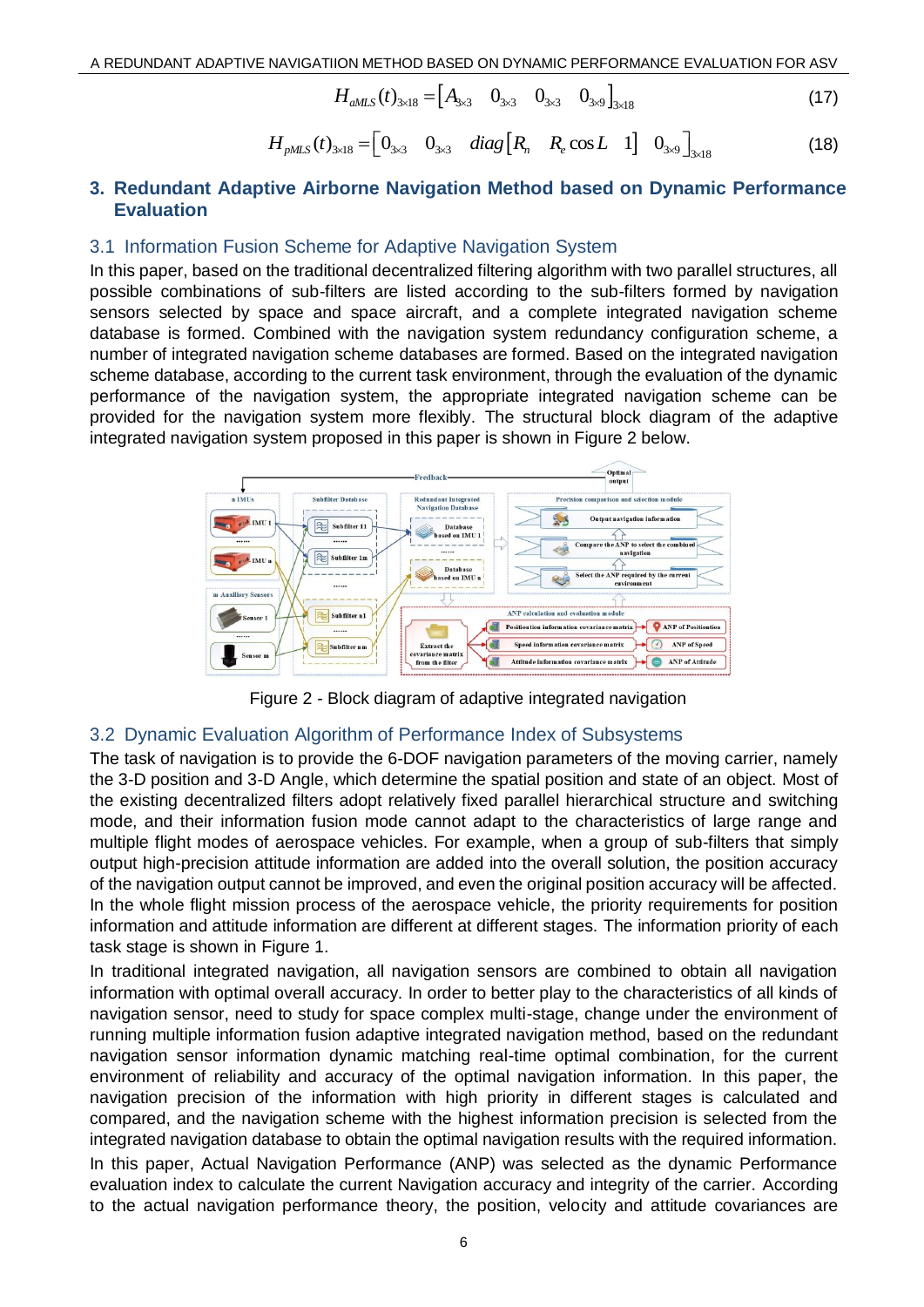$$
H_{aMLS}(t)_{3\times18} = \begin{bmatrix} A_{3\times3} & 0_{3\times3} & 0_{3\times3} & 0_{3\times9} \end{bmatrix}_{3\times18}
$$
 (17)

$$
H_{pMS}(t)_{3\times18} = \begin{bmatrix} 0_{3\times3} & 0_{3\times3} & diag\begin{bmatrix} R_n & R_e \cos L & 1 \end{bmatrix} & 0_{3\times9} \end{bmatrix}_{3\times18}
$$
(18)

### **3. Redundant Adaptive Airborne Navigation Method based on Dynamic Performance Evaluation**

#### 3.1 Information Fusion Scheme for Adaptive Navigation System

In this paper, based on the traditional decentralized filtering algorithm with two parallel structures, all possible combinations of sub-filters are listed according to the sub-filters formed by navigation sensors selected by space and space aircraft, and a complete integrated navigation scheme database is formed. Combined with the navigation system redundancy configuration scheme, a number of integrated navigation scheme databases are formed. Based on the integrated navigation scheme database, according to the current task environment, through the evaluation of the dynamic performance of the navigation system, the appropriate integrated navigation scheme can be provided for the navigation system more flexibly. The structural block diagram of the adaptive integrated navigation system proposed in this paper is shown in Figure 2 below.



Figure 2 - Block diagram of adaptive integrated navigation

## 3.2 Dynamic Evaluation Algorithm of Performance Index of Subsystems

The task of navigation is to provide the 6-DOF navigation parameters of the moving carrier, namely the 3-D position and 3-D Angle, which determine the spatial position and state of an object. Most of the existing decentralized filters adopt relatively fixed parallel hierarchical structure and switching mode, and their information fusion mode cannot adapt to the characteristics of large range and multiple flight modes of aerospace vehicles. For example, when a group of sub-filters that simply output high-precision attitude information are added into the overall solution, the position accuracy of the navigation output cannot be improved, and even the original position accuracy will be affected. In the whole flight mission process of the aerospace vehicle, the priority requirements for position information and attitude information are different at different stages. The information priority of each task stage is shown in Figure 1.

In traditional integrated navigation, all navigation sensors are combined to obtain all navigation information with optimal overall accuracy. In order to better play to the characteristics of all kinds of navigation sensor, need to study for space complex multi-stage, change under the environment of running multiple information fusion adaptive integrated navigation method, based on the redundant navigation sensor information dynamic matching real-time optimal combination, for the current environment of reliability and accuracy of the optimal navigation information. In this paper, the navigation precision of the information with high priority in different stages is calculated and compared, and the navigation scheme with the highest information precision is selected from the integrated navigation database to obtain the optimal navigation results with the required information. In this paper, Actual Navigation Performance (ANP) was selected as the dynamic Performance evaluation index to calculate the current Navigation accuracy and integrity of the carrier. According to the actual navigation performance theory, the position, velocity and attitude covariances are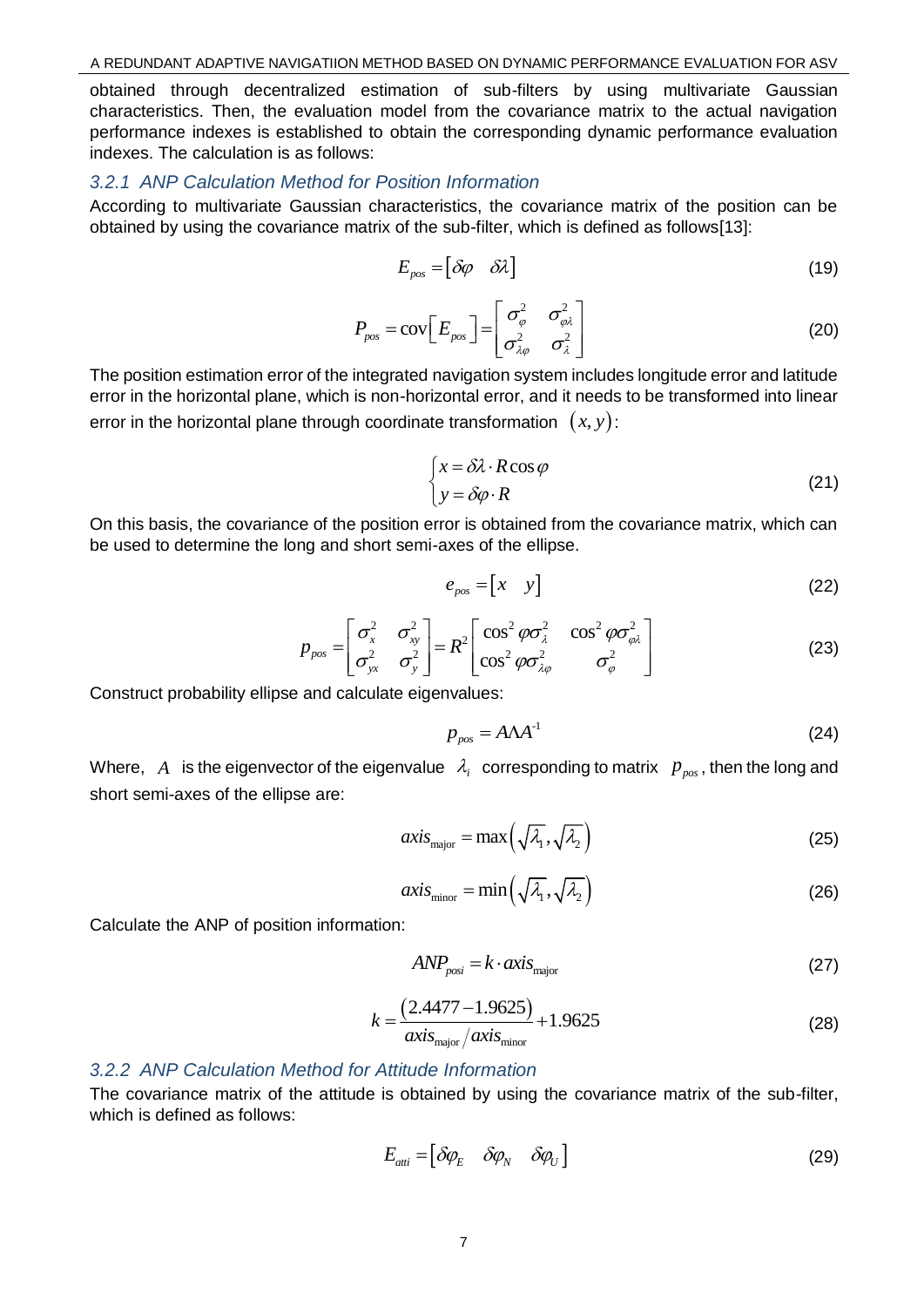obtained through decentralized estimation of sub-filters by using multivariate Gaussian characteristics. Then, the evaluation model from the covariance matrix to the actual navigation performance indexes is established to obtain the corresponding dynamic performance evaluation indexes. The calculation is as follows:

## *3.2.1 ANP Calculation Method for Position Information*

According to multivariate Gaussian characteristics, the covariance matrix of the position can be obtained by using the covariance matrix of the sub-filter, which is defined as follows[13]:

$$
E_{pos} = [\delta \varphi \quad \delta \lambda] \tag{19}
$$

$$
P_{pos} = \text{cov}\left[E_{pos}\right] = \begin{bmatrix} \sigma_{\varphi}^2 & \sigma_{\varphi\lambda}^2 \\ \sigma_{\lambda\varphi}^2 & \sigma_{\lambda}^2 \end{bmatrix}
$$
 (20)

The position estimation error of the integrated navigation system includes longitude error and latitude error in the horizontal plane, which is non-horizontal error, and it needs to be transformed into linear error in the horizontal plane through coordinate transformation  $\;(x,y)$ :

$$
\begin{cases}\n x = \delta \lambda \cdot R \cos \varphi \\
y = \delta \varphi \cdot R\n\end{cases}
$$
\n(21)

On this basis, the covariance of the position error is obtained from the covariance matrix, which can be used to determine the long and short semi-axes of the ellipse.

$$
e_{pos} = \begin{bmatrix} x & y \end{bmatrix} \tag{22}
$$

$$
p_{pos} = \begin{bmatrix} \sigma_x^2 & \sigma_{xy}^2 \\ \sigma_{yx}^2 & \sigma_y^2 \end{bmatrix} = R^2 \begin{bmatrix} \cos^2 \varphi \sigma_x^2 & \cos^2 \varphi \sigma_{\varphi \lambda}^2 \\ \cos^2 \varphi \sigma_{\lambda \varphi}^2 & \sigma_{\varphi}^2 \end{bmatrix}
$$
(23)

Construct probability ellipse and calculate eigenvalues:

$$
p_{pos} = A\Lambda A^{-1} \tag{24}
$$

Where,  $\,A\,$  is the eigenvector of the eigenvalue  $\,$   $\lambda_{i}\,$  corresponding to matrix  $\,$   $p_{_{pos}}$ , then the long and short semi-axes of the ellipse are:

$$
axis_{\text{major}} = \max\left(\sqrt{\lambda_1}, \sqrt{\lambda_2}\right) \tag{25}
$$

$$
axis_{\text{minor}} = \min\left(\sqrt{\lambda_1}, \sqrt{\lambda_2}\right) \tag{26}
$$

Calculate the ANP of position information:

$$
ANP_{posi} = k \cdot axis_{major} \tag{27}
$$

$$
k = \frac{(2.4477 - 1.9625)}{axis_{\text{major}} / axis_{\text{minor}}} + 1.9625
$$
 (28)

### *3.2.2 ANP Calculation Method for Attitude Information*

The covariance matrix of the attitude is obtained by using the covariance matrix of the sub-filter, which is defined as follows:

$$
E_{\text{atti}} = \begin{bmatrix} \delta \varphi_E & \delta \varphi_N & \delta \varphi_U \end{bmatrix} \tag{29}
$$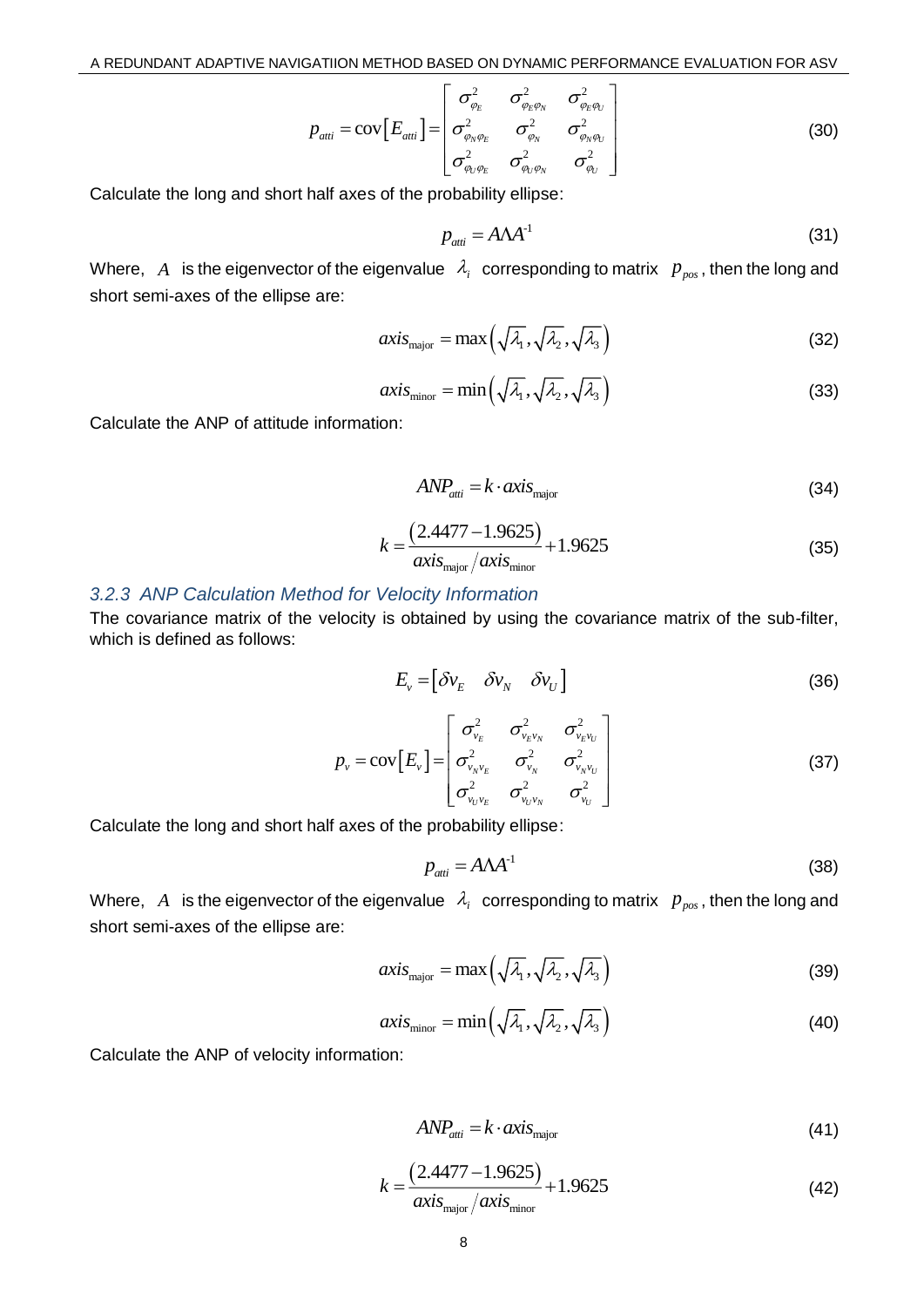$$
p_{\text{anti}} = \text{cov}\left[E_{\text{anti}}\right] = \begin{bmatrix} \sigma_{\varphi_E}^2 & \sigma_{\varphi_E \varphi_N}^2 & \sigma_{\varphi_E \varphi_U}^2 \\ \sigma_{\varphi_N \varphi_E}^2 & \sigma_{\varphi_N}^2 & \sigma_{\varphi_N \varphi_U}^2 \\ \sigma_{\varphi_U \varphi_E}^2 & \sigma_{\varphi_U \varphi_N}^2 & \sigma_{\varphi_U}^2 \end{bmatrix}
$$
(30)

Calculate the long and short half axes of the probability ellipse:

$$
p_{\text{anti}} = A\Lambda A^{-1} \tag{31}
$$

Where,  $\,A\,$  is the eigenvector of the eigenvalue  $\,$   $\lambda_{i}\,$  corresponding to matrix  $\,$   $p_{\rm \scriptscriptstyle pos}$  , then the long and short semi-axes of the ellipse are:

$$
axis_{\text{major}} = \max\left(\sqrt{\lambda_1}, \sqrt{\lambda_2}, \sqrt{\lambda_3}\right) \tag{32}
$$

$$
axis_{\text{minor}} = \min\left(\sqrt{\lambda_1}, \sqrt{\lambda_2}, \sqrt{\lambda_3}\right) \tag{33}
$$

Calculate the ANP of attitude information:

$$
ANP_{\text{atti}} = k \cdot axis_{\text{major}} \tag{34}
$$

$$
k = \frac{(2.4477 - 1.9625)}{axis_{\text{major}} / axis_{\text{minor}}} + 1.9625
$$
 (35)

#### *3.2.3 ANP Calculation Method for Velocity Information*

The covariance matrix of the velocity is obtained by using the covariance matrix of the sub-filter, which is defined as follows:

$$
E_{v} = \begin{bmatrix} \delta v_{E} & \delta v_{N} & \delta v_{U} \end{bmatrix}
$$
 (36)

$$
p_{v} = \text{cov}\left[E_{v}\right] = \begin{bmatrix} \sigma_{v_{E}}^{2} & \sigma_{v_{E}v_{N}}^{2} & \sigma_{v_{E}v_{U}}^{2} \\ \sigma_{v_{N}v_{E}}^{2} & \sigma_{v_{N}}^{2} & \sigma_{v_{N}v_{U}}^{2} \\ \sigma_{v_{U}v_{E}}^{2} & \sigma_{v_{U}v_{N}}^{2} & \sigma_{v_{U}}^{2} \end{bmatrix}
$$
(37)

Calculate the long and short half axes of the probability ellipse:

$$
p_{\text{atti}} = A\Lambda A^{-1} \tag{38}
$$

Where,  $\,A\,$  is the eigenvector of the eigenvalue  $\,$   $\lambda_{i}\,$  corresponding to matrix  $\,$   $p_{_{pos}}$ , then the long and short semi-axes of the ellipse are:

$$
axis_{\text{major}} = \max\left(\sqrt{\lambda_1}, \sqrt{\lambda_2}, \sqrt{\lambda_3}\right) \tag{39}
$$

$$
axis_{\text{minor}} = \min\left(\sqrt{\lambda_1}, \sqrt{\lambda_2}, \sqrt{\lambda_3}\right) \tag{40}
$$

Calculate the ANP of velocity information:

$$
ANP_{\text{atti}} = k \cdot axis_{\text{major}} \tag{41}
$$

$$
k = \frac{(2.4477 - 1.9625)}{axis_{\text{major}} / axis_{\text{minor}}} + 1.9625
$$
 (42)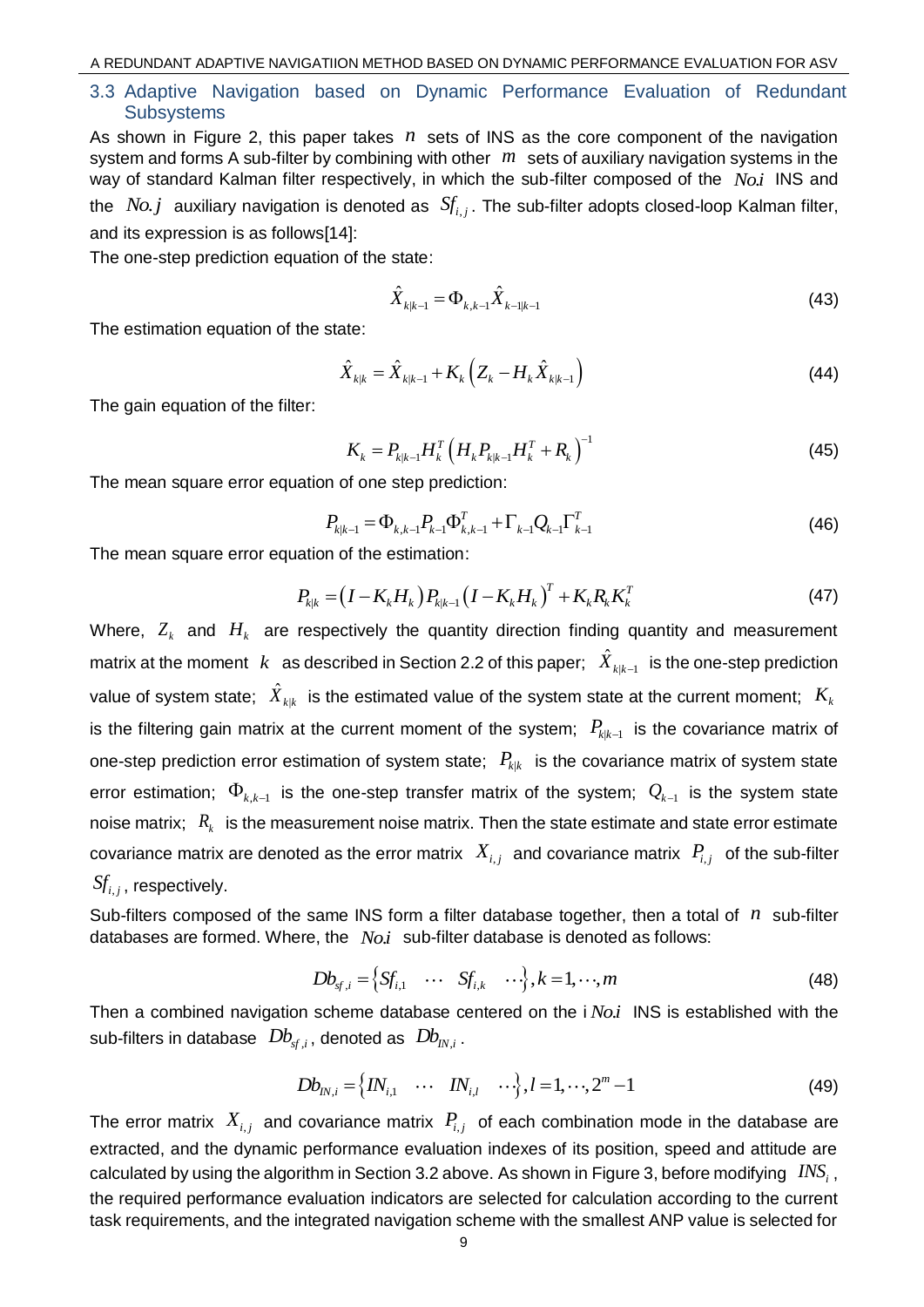### 3.3 Adaptive Navigation based on Dynamic Performance Evaluation of Redundant **Subsystems**

As shown in Figure 2, this paper takes n sets of INS as the core component of the navigation system and forms A sub-filter by combining with other *m* sets of auxiliary navigation systems in the way of standard Kalman filter respectively, in which the sub-filter composed of the *Noi*. INS and the  $No.j$  auxiliary navigation is denoted as  $\, S\!f_{i,j}.$  The sub-filter adopts closed-loop Kalman filter, and its expression is as follows[14]:

The one-step prediction equation of the state:

$$
\hat{X}_{k|k-1} = \Phi_{k,k-1} \hat{X}_{k-1|k-1}
$$
\n(43)

The estimation equation of the state:

$$
\hat{X}_{k|k} = \hat{X}_{k|k-1} + K_k \left( Z_k - H_k \hat{X}_{k|k-1} \right)
$$
\n(44)

The gain equation of the filter:

$$
K_{k} = P_{k|k-1} H_{k}^{T} \left( H_{k} P_{k|k-1} H_{k}^{T} + R_{k} \right)^{-1}
$$
(45)

The mean square error equation of one step prediction:

$$
P_{k|k-1} = \Phi_{k,k-1} P_{k-1} \Phi_{k,k-1}^T + \Gamma_{k-1} Q_{k-1} \Gamma_{k-1}^T
$$
\n(46)

The mean square error equation of the estimation:

$$
P_{k|k} = (I - K_k H_k) P_{k|k-1} (I - K_k H_k)^T + K_k R_k K_k^T
$$
\n(47)

Where,  $Z_k$  and  $H_k$  are respectively the quantity direction finding quantity and measurement matrix at the moment  $|k|$  as described in Section 2.2 of this paper;  $|X_{k|k-1}|$  $\hat{X}_{k|k-1}$  is the one-step prediction value of system state;  $\hat{X}_{k|k}$  is the estimated value of the system state at the current moment;  $K_{k}$ is the filtering gain matrix at the current moment of the system;  $P_{k|k-1}$  is the covariance matrix of one-step prediction error estimation of system state;  $\ P_{_{k|k}}\,$  is the covariance matrix of system state error estimation;  $\, \Phi_{k,k-1} \,$  is the one-step transfer matrix of the system;  $\, Q_{k-1} \,$  is the system state noise matrix;  $R_k$  is the measurement noise matrix. Then the state estimate and state error estimate covariance matrix are denoted as the error matrix  $\ X_{i,j}$  and covariance matrix  $\ P_{i,j}$  of the sub-filter  $\pmb{S\!f}_{i,j}$  , respectively.

Sub-filters composed of the same INS form a filter database together, then a total of *n* sub-filter databases are formed. Where, the *No.i* sub-filter database is denoted as follows:<br> $Db_{s f,i} = \left\{S f_{i,1} \quad \cdots \quad S f_{i,k} \quad \cdots \right\}, k = 1, \cdots, m$  (48)

$$
Db_{sf,i} = \left\{ Sf_{i,1} \quad \cdots \quad Sf_{i,k} \quad \cdots \right\}, k = 1, \cdots, m \tag{48}
$$

Then a combined navigation scheme database centered on the i *Noi*. INS is established with the sub-filters in database  $\;Db_{\tiny{sf,i}}\,,$  denoted as  $\;Db_{\tiny{IN,i}}\,.$ 

$$
Db_{IN,i} = \left\{ IN_{i,1} \quad \cdots \quad IN_{i,l} \quad \cdots \right\}, l = 1, \cdots, 2^m - 1 \tag{49}
$$

The error matrix  $X_{i,j}$  and covariance matrix  $P_{i,j}$  of each combination mode in the database are extracted, and the dynamic performance evaluation indexes of its position, speed and attitude are calculated by using the algorithm in Section 3.2 above. As shown in Figure 3, before modifying  $\sqrt{~INS}_{i}$  , the required performance evaluation indicators are selected for calculation according to the current task requirements, and the integrated navigation scheme with the smallest ANP value is selected for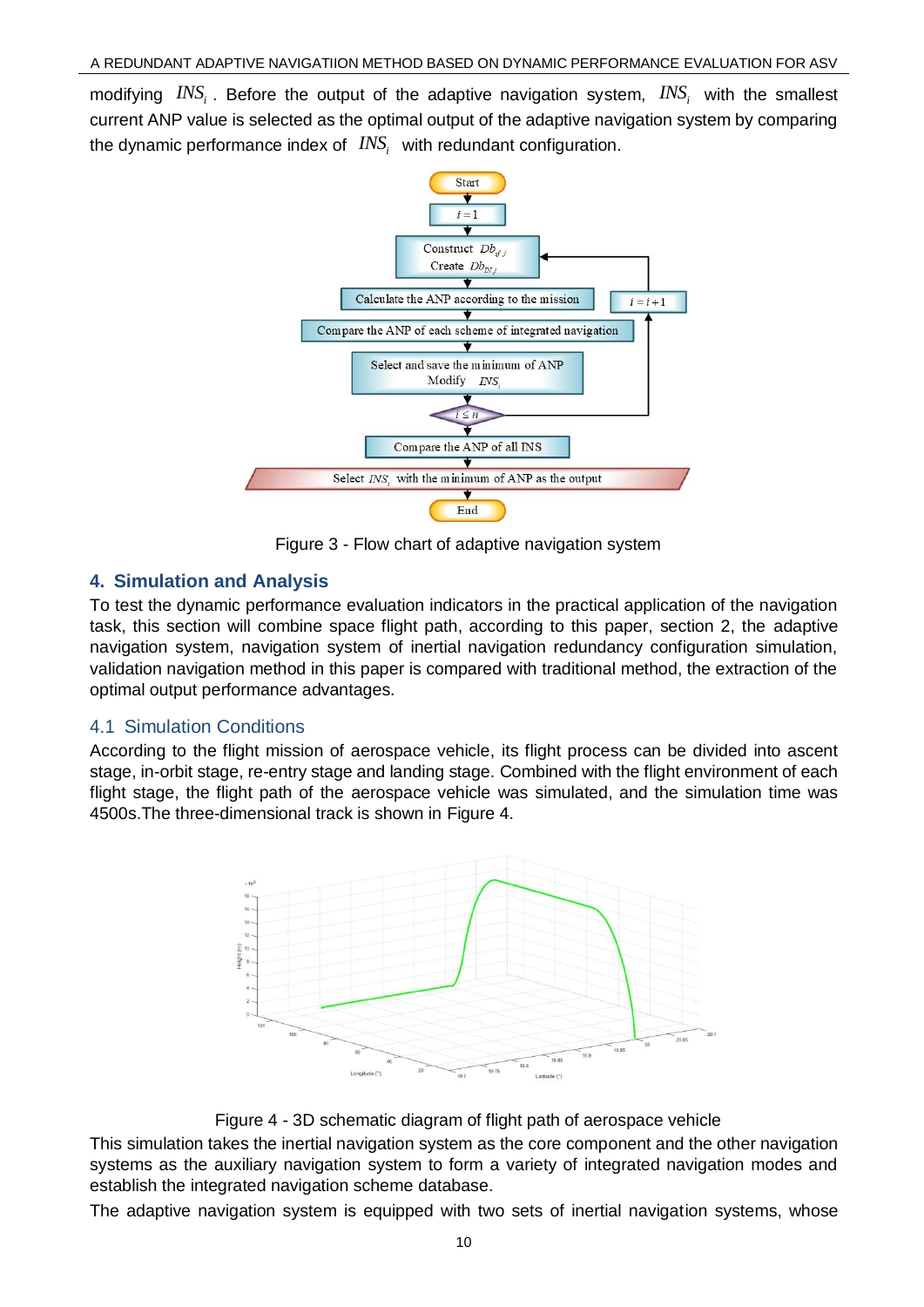modifying  $INS_i$ . Before the output of the adaptive navigation system,  $INS_i$  with the smallest current ANP value is selected as the optimal output of the adaptive navigation system by comparing the dynamic performance index of  $\sqrt{INS}_i$  with redundant configuration.



Figure 3 - Flow chart of adaptive navigation system

# **4. Simulation and Analysis**

To test the dynamic performance evaluation indicators in the practical application of the navigation task, this section will combine space flight path, according to this paper, section 2, the adaptive navigation system, navigation system of inertial navigation redundancy configuration simulation, validation navigation method in this paper is compared with traditional method, the extraction of the optimal output performance advantages.

# 4.1 Simulation Conditions

According to the flight mission of aerospace vehicle, its flight process can be divided into ascent stage, in-orbit stage, re-entry stage and landing stage. Combined with the flight environment of each flight stage, the flight path of the aerospace vehicle was simulated, and the simulation time was 4500s.The three-dimensional track is shown in Figure 4.



Figure 4 - 3D schematic diagram of flight path of aerospace vehicle

This simulation takes the inertial navigation system as the core component and the other navigation systems as the auxiliary navigation system to form a variety of integrated navigation modes and establish the integrated navigation scheme database.

The adaptive navigation system is equipped with two sets of inertial navigation systems, whose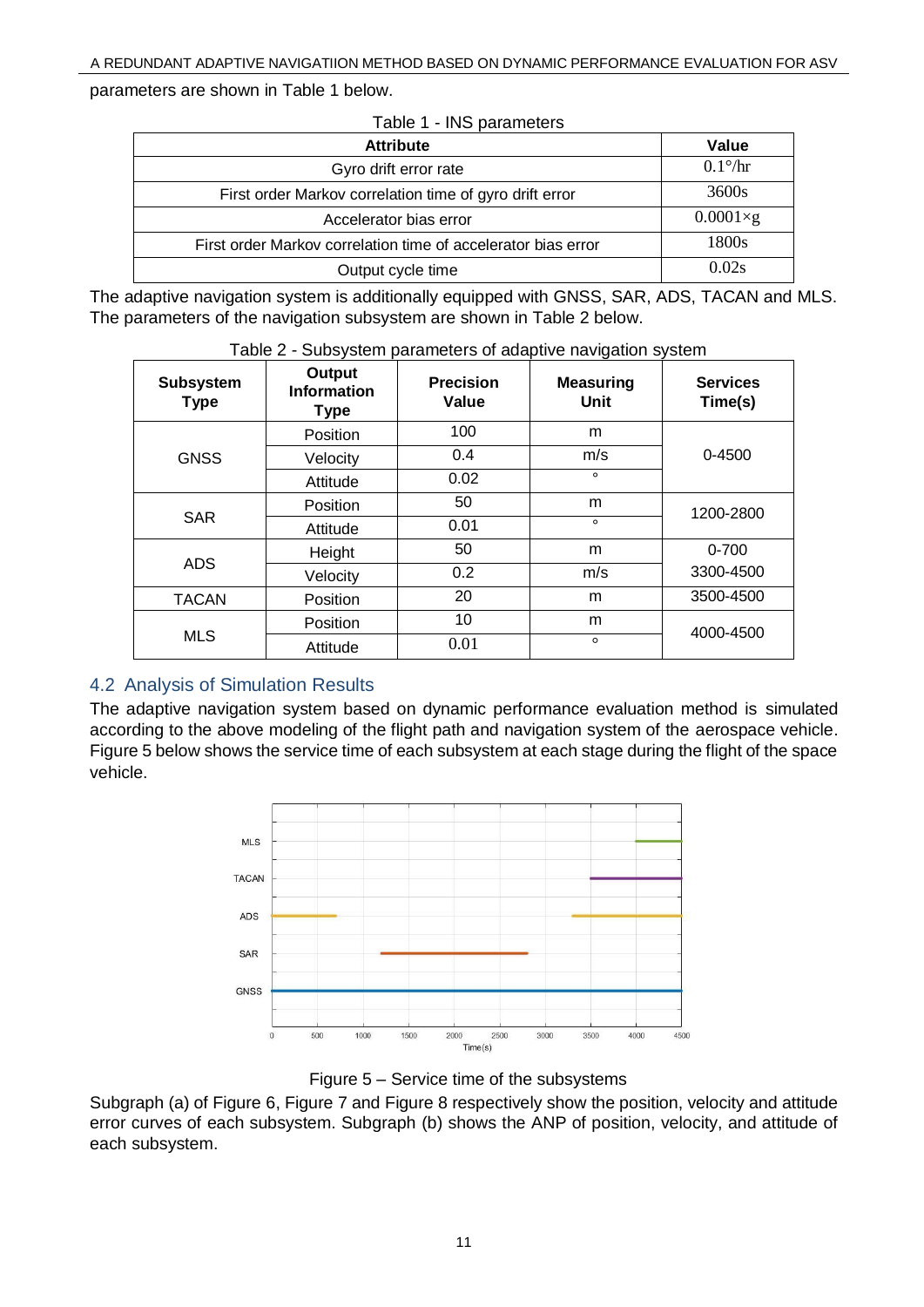parameters are shown in Table 1 below.

| Table 1 - INS parameters                                      |                   |  |  |  |
|---------------------------------------------------------------|-------------------|--|--|--|
| <b>Attribute</b>                                              | Value             |  |  |  |
| Gyro drift error rate                                         | $0.1\%$ hr        |  |  |  |
| First order Markov correlation time of gyro drift error       | 3600s             |  |  |  |
| Accelerator bias error                                        | $0.0001 \times g$ |  |  |  |
| First order Markov correlation time of accelerator bias error | 1800s             |  |  |  |
| Output cycle time                                             | 0.02s             |  |  |  |

The adaptive navigation system is additionally equipped with GNSS, SAR, ADS, TACAN and MLS. The parameters of the navigation subsystem are shown in Table 2 below.

|                                 |                                                    |                           | . <del>.</del>           |                            |
|---------------------------------|----------------------------------------------------|---------------------------|--------------------------|----------------------------|
| <b>Subsystem</b><br><b>Type</b> | <b>Output</b><br><b>Information</b><br><b>Type</b> | <b>Precision</b><br>Value | <b>Measuring</b><br>Unit | <b>Services</b><br>Time(s) |
| <b>GNSS</b>                     | Position                                           | 100                       | m                        |                            |
|                                 | Velocity                                           | 0.4                       | m/s                      | $0 - 4500$                 |
|                                 | Attitude                                           | 0.02                      | $\circ$                  |                            |
| <b>SAR</b>                      | Position                                           | 50                        | m                        | 1200-2800                  |
|                                 | Attitude                                           | 0.01                      | $\circ$                  |                            |
| <b>ADS</b>                      | Height                                             | 50                        | m                        | $0 - 700$                  |
|                                 | Velocity                                           | 0.2                       | m/s                      | 3300-4500                  |
| <b>TACAN</b>                    | Position                                           | 20                        | m                        | 3500-4500                  |
| <b>MLS</b>                      | Position                                           | 10                        | m                        | 4000-4500                  |
|                                 | Attitude                                           | 0.01                      | $\circ$                  |                            |

Table 2 - Subsystem parameters of adaptive navigation system

# 4.2 Analysis of Simulation Results

The adaptive navigation system based on dynamic performance evaluation method is simulated according to the above modeling of the flight path and navigation system of the aerospace vehicle. Figure 5 below shows the service time of each subsystem at each stage during the flight of the space vehicle.



Figure 5 – Service time of the subsystems

Subgraph (a) of Figure 6, Figure 7 and Figure 8 respectively show the position, velocity and attitude error curves of each subsystem. Subgraph (b) shows the ANP of position, velocity, and attitude of each subsystem.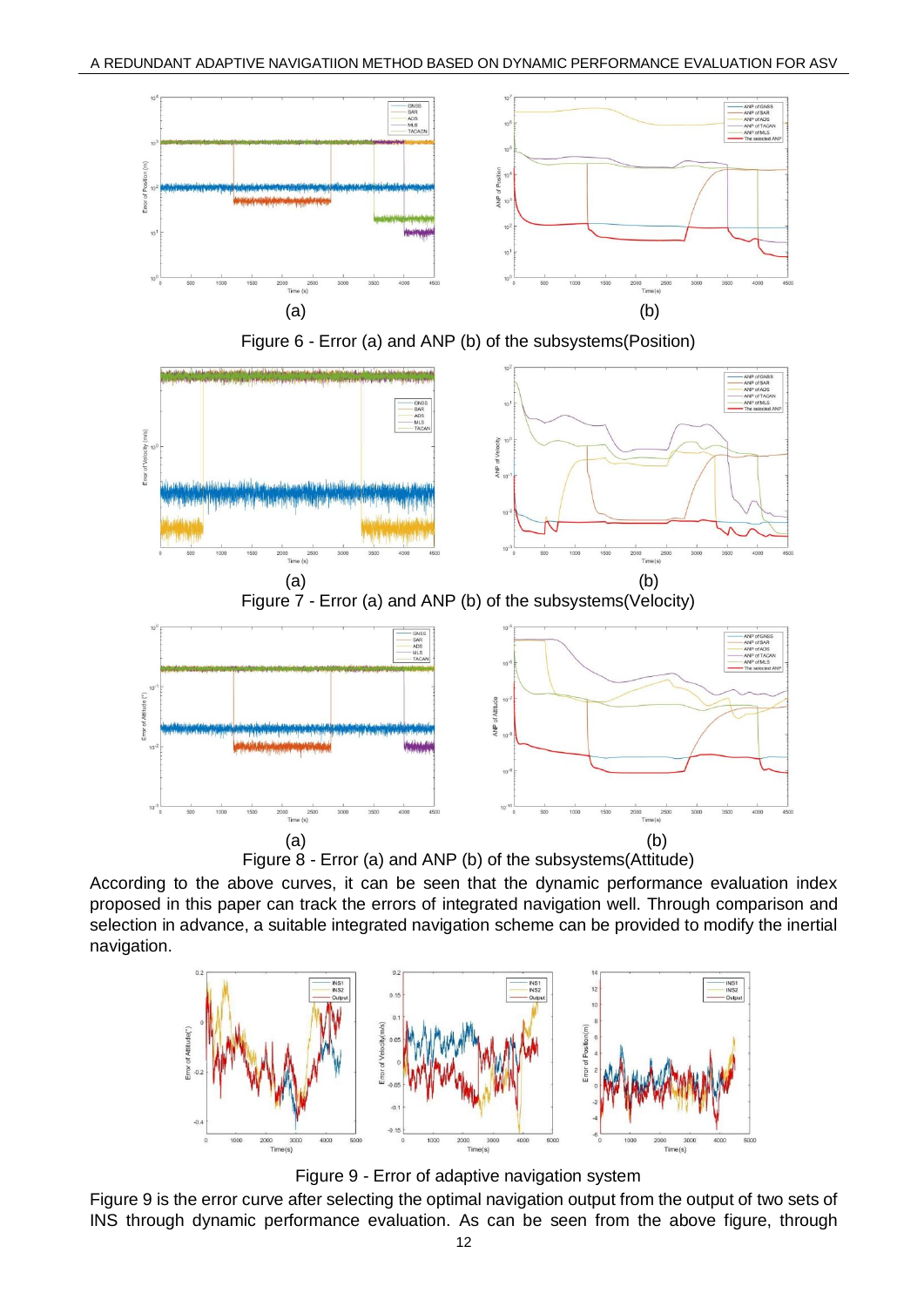





Figure 8 - Error (a) and ANP (b) of the subsystems(Attitude)

According to the above curves, it can be seen that the dynamic performance evaluation index proposed in this paper can track the errors of integrated navigation well. Through comparison and selection in advance, a suitable integrated navigation scheme can be provided to modify the inertial navigation.



Figure 9 - Error of adaptive navigation system

Figure 9 is the error curve after selecting the optimal navigation output from the output of two sets of INS through dynamic performance evaluation. As can be seen from the above figure, through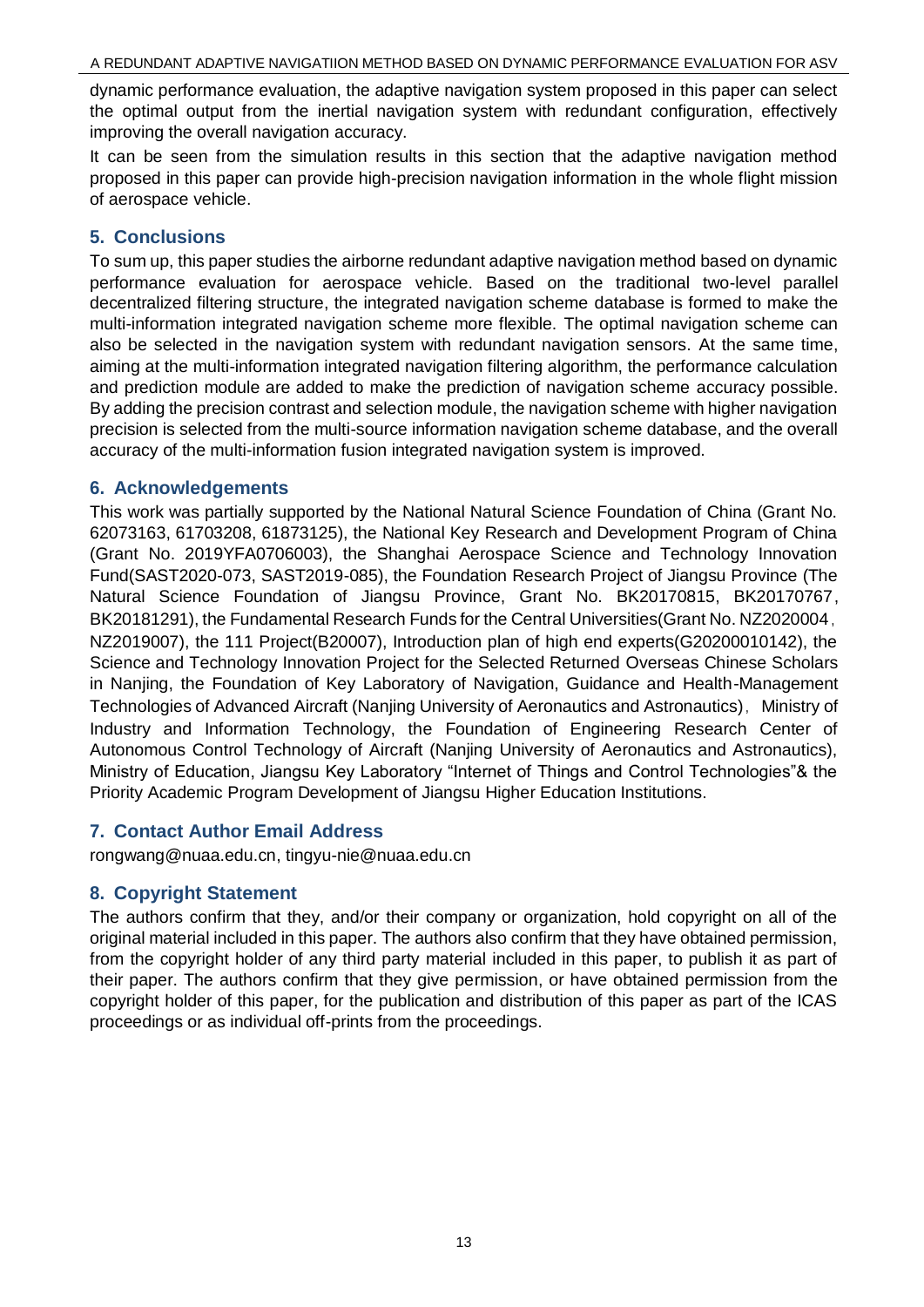dynamic performance evaluation, the adaptive navigation system proposed in this paper can select the optimal output from the inertial navigation system with redundant configuration, effectively improving the overall navigation accuracy.

It can be seen from the simulation results in this section that the adaptive navigation method proposed in this paper can provide high-precision navigation information in the whole flight mission of aerospace vehicle.

## **5. Conclusions**

To sum up, this paper studies the airborne redundant adaptive navigation method based on dynamic performance evaluation for aerospace vehicle. Based on the traditional two-level parallel decentralized filtering structure, the integrated navigation scheme database is formed to make the multi-information integrated navigation scheme more flexible. The optimal navigation scheme can also be selected in the navigation system with redundant navigation sensors. At the same time, aiming at the multi-information integrated navigation filtering algorithm, the performance calculation and prediction module are added to make the prediction of navigation scheme accuracy possible. By adding the precision contrast and selection module, the navigation scheme with higher navigation precision is selected from the multi-source information navigation scheme database, and the overall accuracy of the multi-information fusion integrated navigation system is improved.

## **6. Acknowledgements**

This work was partially supported by the National Natural Science Foundation of China (Grant No. 62073163, 61703208, 61873125), the National Key Research and Development Program of China (Grant No. 2019YFA0706003), the Shanghai Aerospace Science and Technology Innovation Fund(SAST2020-073, SAST2019-085), the Foundation Research Project of Jiangsu Province (The Natural Science Foundation of Jiangsu Province, Grant No. BK20170815, BK20170767, BK20181291), the Fundamental Research Funds for the Central Universities(Grant No. NZ2020004, NZ2019007), the 111 Project(B20007), Introduction plan of high end experts(G20200010142), the Science and Technology Innovation Project for the Selected Returned Overseas Chinese Scholars in Nanjing, the Foundation of Key Laboratory of Navigation, Guidance and Health-Management Technologies of Advanced Aircraft (Nanjing University of Aeronautics and Astronautics), Ministry of Industry and Information Technology, the Foundation of Engineering Research Center of Autonomous Control Technology of Aircraft (Nanjing University of Aeronautics and Astronautics), Ministry of Education, Jiangsu Key Laboratory "Internet of Things and Control Technologies"& the Priority Academic Program Development of Jiangsu Higher Education Institutions.

## **7. Contact Author Email Address**

rongwang@nuaa.edu.cn, tingyu-nie@nuaa.edu.cn

## **8. Copyright Statement**

The authors confirm that they, and/or their company or organization, hold copyright on all of the original material included in this paper. The authors also confirm that they have obtained permission, from the copyright holder of any third party material included in this paper, to publish it as part of their paper. The authors confirm that they give permission, or have obtained permission from the copyright holder of this paper, for the publication and distribution of this paper as part of the ICAS proceedings or as individual off-prints from the proceedings.